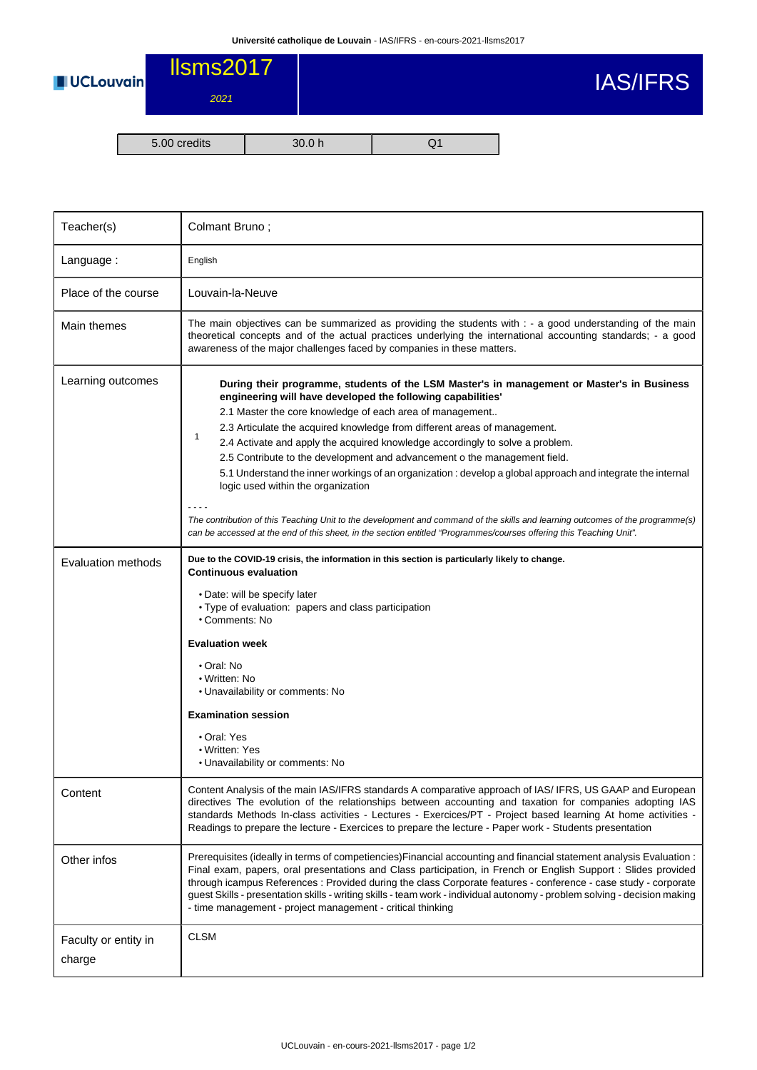

| Teacher(s)                     | Colmant Bruno;                                                                                                                                                                                                                                                                                                                                                                                                                                                                                                                                                                                                                                                                                                                                                                                                                                                                     |  |  |  |
|--------------------------------|------------------------------------------------------------------------------------------------------------------------------------------------------------------------------------------------------------------------------------------------------------------------------------------------------------------------------------------------------------------------------------------------------------------------------------------------------------------------------------------------------------------------------------------------------------------------------------------------------------------------------------------------------------------------------------------------------------------------------------------------------------------------------------------------------------------------------------------------------------------------------------|--|--|--|
| Language:                      | English                                                                                                                                                                                                                                                                                                                                                                                                                                                                                                                                                                                                                                                                                                                                                                                                                                                                            |  |  |  |
| Place of the course            | Louvain-la-Neuve                                                                                                                                                                                                                                                                                                                                                                                                                                                                                                                                                                                                                                                                                                                                                                                                                                                                   |  |  |  |
| Main themes                    | The main objectives can be summarized as providing the students with : - a good understanding of the main<br>theoretical concepts and of the actual practices underlying the international accounting standards; - a good<br>awareness of the major challenges faced by companies in these matters.                                                                                                                                                                                                                                                                                                                                                                                                                                                                                                                                                                                |  |  |  |
| Learning outcomes              | During their programme, students of the LSM Master's in management or Master's in Business<br>engineering will have developed the following capabilities'<br>2.1 Master the core knowledge of each area of management<br>2.3 Articulate the acquired knowledge from different areas of management.<br>1<br>2.4 Activate and apply the acquired knowledge accordingly to solve a problem.<br>2.5 Contribute to the development and advancement o the management field.<br>5.1 Understand the inner workings of an organization : develop a global approach and integrate the internal<br>logic used within the organization<br>The contribution of this Teaching Unit to the development and command of the skills and learning outcomes of the programme(s)<br>can be accessed at the end of this sheet, in the section entitled "Programmes/courses offering this Teaching Unit". |  |  |  |
| Evaluation methods             | Due to the COVID-19 crisis, the information in this section is particularly likely to change.<br><b>Continuous evaluation</b><br>• Date: will be specify later<br>• Type of evaluation: papers and class participation<br>• Comments: No<br><b>Evaluation week</b><br>• Oral: No<br>• Written: No<br>• Unavailability or comments: No<br><b>Examination session</b><br>• Oral: Yes<br>• Written: Yes<br>• Unavailability or comments: No                                                                                                                                                                                                                                                                                                                                                                                                                                           |  |  |  |
| Content                        | Content Analysis of the main IAS/IFRS standards A comparative approach of IAS/ IFRS, US GAAP and European<br>directives The evolution of the relationships between accounting and taxation for companies adopting IAS<br>standards Methods In-class activities - Lectures - Exercices/PT - Project based learning At home activities -<br>Readings to prepare the lecture - Exercices to prepare the lecture - Paper work - Students presentation                                                                                                                                                                                                                                                                                                                                                                                                                                  |  |  |  |
| Other infos                    | Prerequisites (ideally in terms of competiencies) Financial accounting and financial statement analysis Evaluation:<br>Final exam, papers, oral presentations and Class participation, in French or English Support : Slides provided<br>through icampus References : Provided during the class Corporate features - conference - case study - corporate<br>guest Skills - presentation skills - writing skills - team work - individual autonomy - problem solving - decision making<br>- time management - project management - critical thinking                                                                                                                                                                                                                                                                                                                                |  |  |  |
| Faculty or entity in<br>charge | <b>CLSM</b>                                                                                                                                                                                                                                                                                                                                                                                                                                                                                                                                                                                                                                                                                                                                                                                                                                                                        |  |  |  |